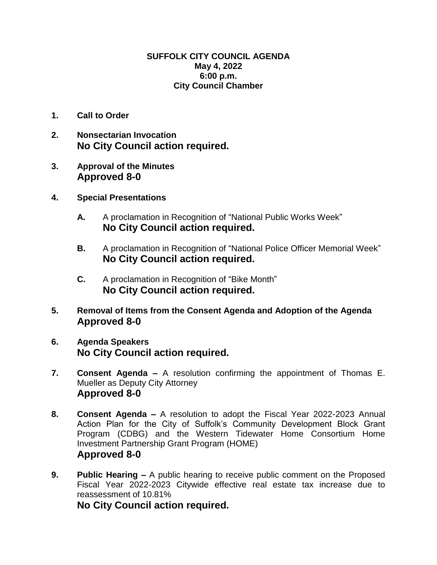## **SUFFOLK CITY COUNCIL AGENDA May 4, 2022 6:00 p.m. City Council Chamber**

- **1. Call to Order**
- **2. Nonsectarian Invocation No City Council action required.**
- **3. Approval of the Minutes Approved 8-0**
- **4. Special Presentations**
	- **A.** A proclamation in Recognition of "National Public Works Week" **No City Council action required.**
	- **B.** A proclamation in Recognition of "National Police Officer Memorial Week" **No City Council action required.**
	- **C.** A proclamation in Recognition of "Bike Month" **No City Council action required.**
- **5. Removal of Items from the Consent Agenda and Adoption of the Agenda Approved 8-0**
- **6. Agenda Speakers No City Council action required.**
- **7. Consent Agenda –** A resolution confirming the appointment of Thomas E. Mueller as Deputy City Attorney **Approved 8-0**
- **8. Consent Agenda –** A resolution to adopt the Fiscal Year 2022-2023 Annual Action Plan for the City of Suffolk's Community Development Block Grant Program (CDBG) and the Western Tidewater Home Consortium Home Investment Partnership Grant Program (HOME) **Approved 8-0**
- **9. Public Hearing –** A public hearing to receive public comment on the Proposed Fiscal Year 2022-2023 Citywide effective real estate tax increase due to reassessment of 10.81%

**No City Council action required.**